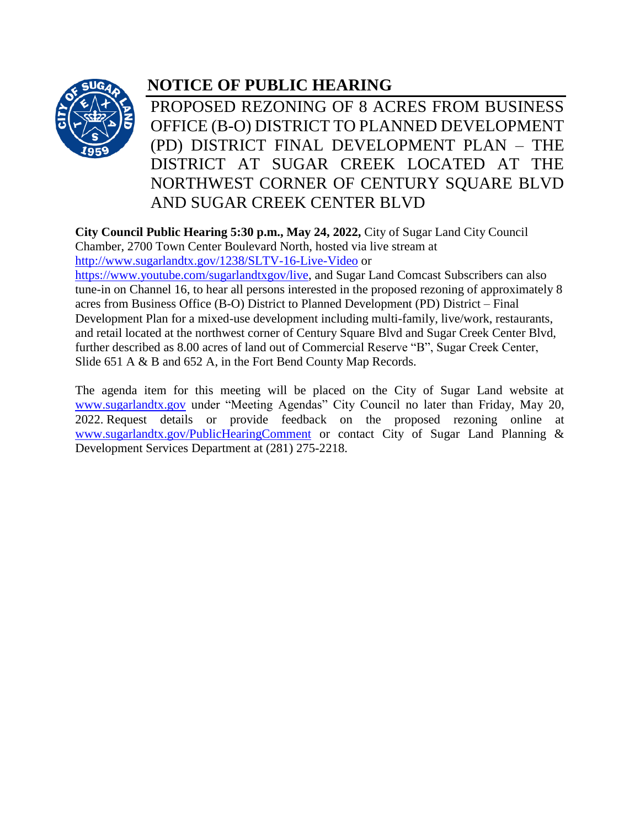

## **NOTICE OF PUBLIC HEARING**

PROPOSED REZONING OF 8 ACRES FROM BUSINESS OFFICE (B-O) DISTRICT TO PLANNED DEVELOPMENT (PD) DISTRICT FINAL DEVELOPMENT PLAN – THE DISTRICT AT SUGAR CREEK LOCATED AT THE NORTHWEST CORNER OF CENTURY SQUARE BLVD AND SUGAR CREEK CENTER BLVD

**City Council Public Hearing 5:30 p.m., May 24, 2022,** City of Sugar Land City Council Chamber, 2700 Town Center Boulevard North, hosted via live stream at <http://www.sugarlandtx.gov/1238/SLTV-16-Live-Video> or

[https://www.youtube.com/sugarlandtxgov/live,](https://www.youtube.com/sugarlandtxgov/live) and Sugar Land Comcast Subscribers can also tune-in on Channel 16, to hear all persons interested in the proposed rezoning of approximately 8 acres from Business Office (B-O) District to Planned Development (PD) District – Final Development Plan for a mixed-use development including multi-family, live/work, restaurants, and retail located at the northwest corner of Century Square Blvd and Sugar Creek Center Blvd, further described as 8.00 acres of land out of Commercial Reserve "B", Sugar Creek Center, Slide 651 A & B and 652 A, in the Fort Bend County Map Records.

The agenda item for this meeting will be placed on the City of Sugar Land website at [www.sugarlandtx.gov](http://www.sugarlandtx.gov/) under "Meeting Agendas" City Council no later than Friday, May 20, 2022. Request details or provide feedback on the proposed rezoning online at [www.sugarlandtx.gov/PublicHearingComment](http://www.sugarlandtx.gov/PublicHearingComment) or contact City of Sugar Land Planning & Development Services Department at (281) 275-2218.